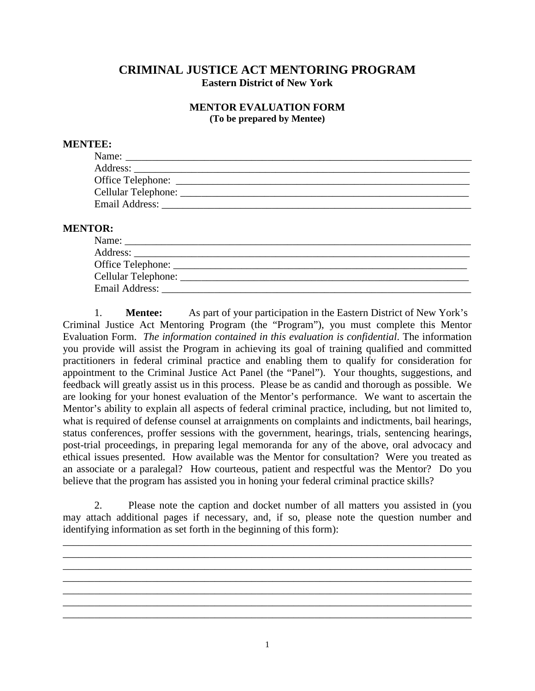# **CRIMINAL JUSTICE ACT MENTORING PROGRAM Eastern District of New York**

## **MENTOR EVALUATION FORM (To be prepared by Mentee)**

## **MENTEE:**

| Name:               |  |
|---------------------|--|
|                     |  |
|                     |  |
|                     |  |
| Email Address: ____ |  |

#### **MENTOR:**

| Name:          |  |
|----------------|--|
|                |  |
|                |  |
|                |  |
| Email Address: |  |

1. **Mentee:** As part of your participation in the Eastern District of New York's Criminal Justice Act Mentoring Program (the "Program"), you must complete this Mentor Evaluation Form. *The information contained in this evaluation is confidential*. The information you provide will assist the Program in achieving its goal of training qualified and committed practitioners in federal criminal practice and enabling them to qualify for consideration for appointment to the Criminal Justice Act Panel (the "Panel"). Your thoughts, suggestions, and feedback will greatly assist us in this process. Please be as candid and thorough as possible. We are looking for your honest evaluation of the Mentor's performance. We want to ascertain the Mentor's ability to explain all aspects of federal criminal practice, including, but not limited to, what is required of defense counsel at arraignments on complaints and indictments, bail hearings, status conferences, proffer sessions with the government, hearings, trials, sentencing hearings, post-trial proceedings, in preparing legal memoranda for any of the above, oral advocacy and ethical issues presented. How available was the Mentor for consultation? Were you treated as an associate or a paralegal? How courteous, patient and respectful was the Mentor? Do you believe that the program has assisted you in honing your federal criminal practice skills?

2. Please note the caption and docket number of all matters you assisted in (you may attach additional pages if necessary, and, if so, please note the question number and identifying information as set forth in the beginning of this form):

\_\_\_\_\_\_\_\_\_\_\_\_\_\_\_\_\_\_\_\_\_\_\_\_\_\_\_\_\_\_\_\_\_\_\_\_\_\_\_\_\_\_\_\_\_\_\_\_\_\_\_\_\_\_\_\_\_\_\_\_\_\_\_\_\_\_\_\_\_\_\_\_\_\_\_\_\_\_ \_\_\_\_\_\_\_\_\_\_\_\_\_\_\_\_\_\_\_\_\_\_\_\_\_\_\_\_\_\_\_\_\_\_\_\_\_\_\_\_\_\_\_\_\_\_\_\_\_\_\_\_\_\_\_\_\_\_\_\_\_\_\_\_\_\_\_\_\_\_\_\_\_\_\_\_\_\_ \_\_\_\_\_\_\_\_\_\_\_\_\_\_\_\_\_\_\_\_\_\_\_\_\_\_\_\_\_\_\_\_\_\_\_\_\_\_\_\_\_\_\_\_\_\_\_\_\_\_\_\_\_\_\_\_\_\_\_\_\_\_\_\_\_\_\_\_\_\_\_\_\_\_\_\_\_\_ \_\_\_\_\_\_\_\_\_\_\_\_\_\_\_\_\_\_\_\_\_\_\_\_\_\_\_\_\_\_\_\_\_\_\_\_\_\_\_\_\_\_\_\_\_\_\_\_\_\_\_\_\_\_\_\_\_\_\_\_\_\_\_\_\_\_\_\_\_\_\_\_\_\_\_\_\_\_ \_\_\_\_\_\_\_\_\_\_\_\_\_\_\_\_\_\_\_\_\_\_\_\_\_\_\_\_\_\_\_\_\_\_\_\_\_\_\_\_\_\_\_\_\_\_\_\_\_\_\_\_\_\_\_\_\_\_\_\_\_\_\_\_\_\_\_\_\_\_\_\_\_\_\_\_\_\_ \_\_\_\_\_\_\_\_\_\_\_\_\_\_\_\_\_\_\_\_\_\_\_\_\_\_\_\_\_\_\_\_\_\_\_\_\_\_\_\_\_\_\_\_\_\_\_\_\_\_\_\_\_\_\_\_\_\_\_\_\_\_\_\_\_\_\_\_\_\_\_\_\_\_\_\_\_\_ \_\_\_\_\_\_\_\_\_\_\_\_\_\_\_\_\_\_\_\_\_\_\_\_\_\_\_\_\_\_\_\_\_\_\_\_\_\_\_\_\_\_\_\_\_\_\_\_\_\_\_\_\_\_\_\_\_\_\_\_\_\_\_\_\_\_\_\_\_\_\_\_\_\_\_\_\_\_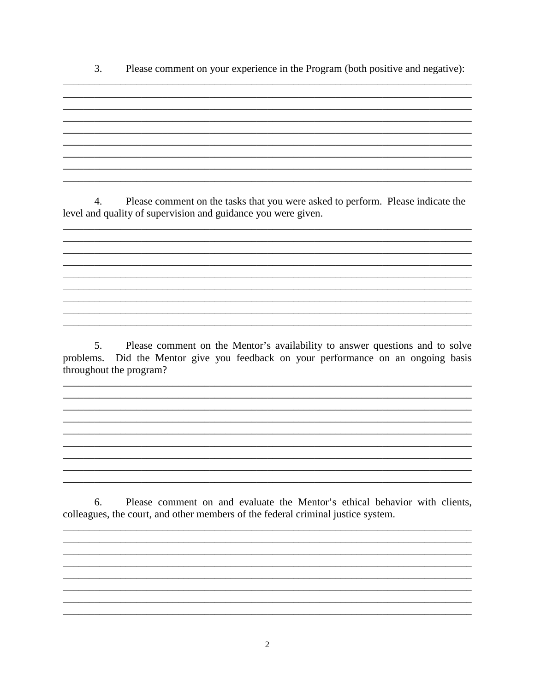$\overline{3}$ . Please comment on your experience in the Program (both positive and negative):

<u> 1989 - Johann Stoff, deutscher Stoffen und der Stoffen und der Stoffen und der Stoffen und der Stoffen und de</u> 4.

Please comment on the tasks that you were asked to perform. Please indicate the level and quality of supervision and guidance you were given.

5. Please comment on the Mentor's availability to answer questions and to solve problems. Did the Mentor give you feedback on your performance on an ongoing basis throughout the program?

Please comment on and evaluate the Mentor's ethical behavior with clients, 6. colleagues, the court, and other members of the federal criminal justice system.

 $\overline{2}$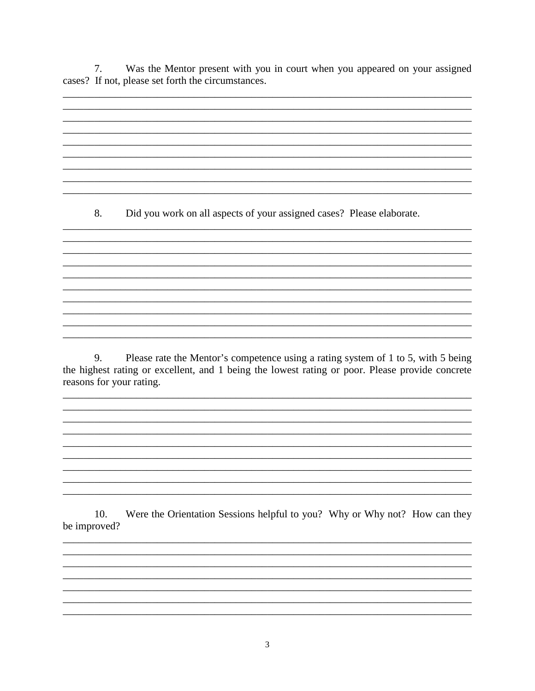$7.$ Was the Mentor present with you in court when you appeared on your assigned cases? If not, please set forth the circumstances.

<u> 1989 - Johann Stoff, deutscher Stoffen und der Stoffen und der Stoffen und der Stoffen und der Stoffen und de</u>

8. Did you work on all aspects of your assigned cases? Please elaborate.

9. Please rate the Mentor's competence using a rating system of 1 to 5, with 5 being the highest rating or excellent, and 1 being the lowest rating or poor. Please provide concrete reasons for your rating.

10. Were the Orientation Sessions helpful to you? Why or Why not? How can they be improved?